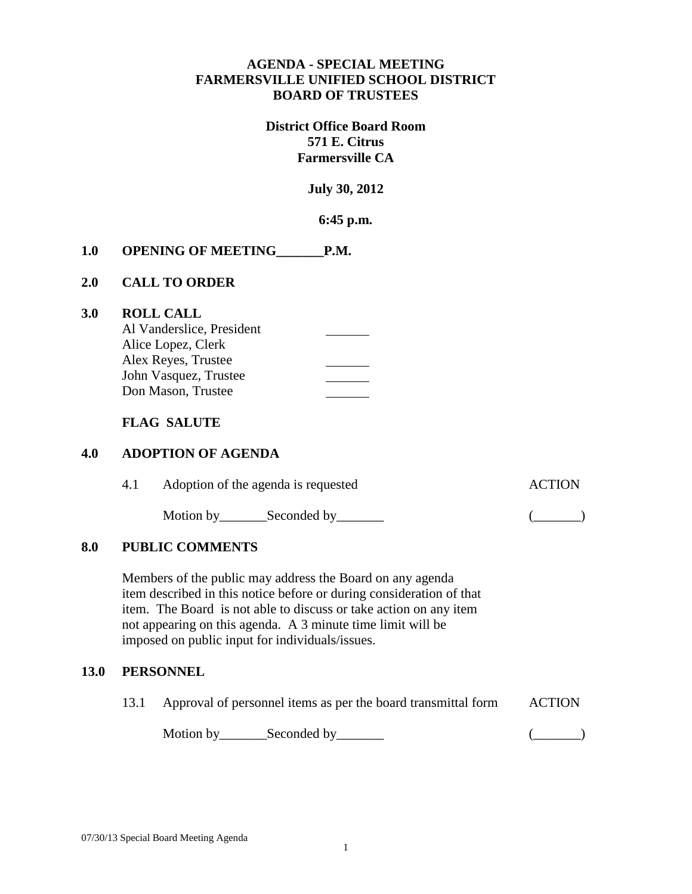## **AGENDA - SPECIAL MEETING FARMERSVILLE UNIFIED SCHOOL DISTRICT BOARD OF TRUSTEES**

# **District Office Board Room 571 E. Citrus Farmersville CA**

**July 30, 2012**

**6:45 p.m.**

## **1.0 OPENING OF MEETING\_\_\_\_\_\_\_P.M.**

### **2.0 CALL TO ORDER**

### **3.0 ROLL CALL**

| Al Vanderslice, President |  |
|---------------------------|--|
| Alice Lopez, Clerk        |  |
| Alex Reyes, Trustee       |  |
| John Vasquez, Trustee     |  |
| Don Mason, Trustee        |  |

### **FLAG SALUTE**

### **4.0 ADOPTION OF AGENDA**

| 4.1 | Adoption of the agenda is requested | <b>ACTION</b> |  |
|-----|-------------------------------------|---------------|--|
|     | Motion by Seconded by Seconder      |               |  |

# **8.0 PUBLIC COMMENTS**

Members of the public may address the Board on any agenda item described in this notice before or during consideration of that item. The Board is not able to discuss or take action on any item not appearing on this agenda. A 3 minute time limit will be imposed on public input for individuals/issues.

#### **13.0 PERSONNEL**

13.1 Approval of personnel items as per the board transmittal form ACTION Motion by Seconded by (Compact of Compact of Compact of Compact of Compact of Compact of Compact of Compact of Compact of Compact of Compact of Compact of Compact of Compact of Compact of Compact of Compact of Compact of C